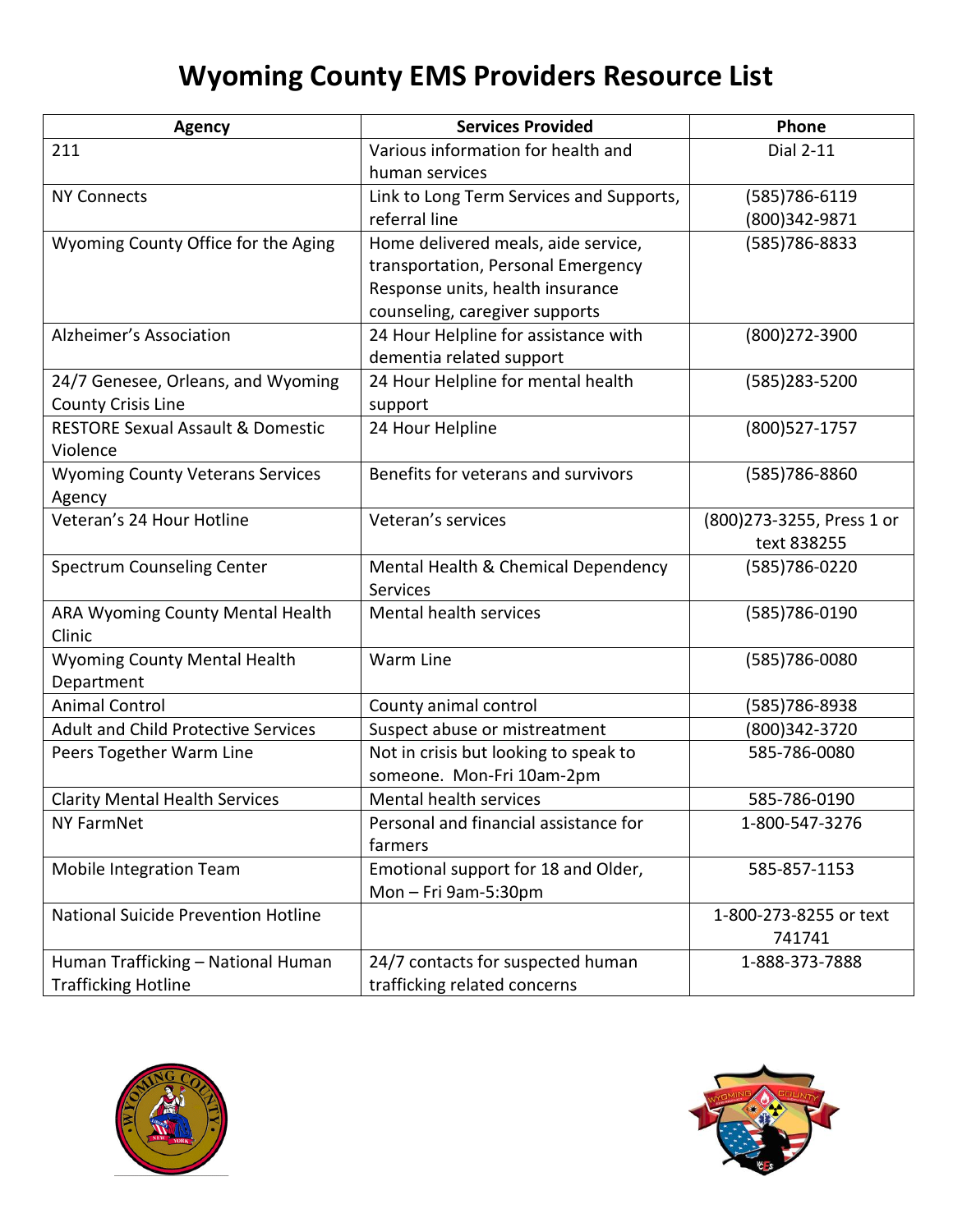## **Wyoming County EMS Providers Resource List**

| <b>Agency</b>                                | <b>Services Provided</b>                 | Phone                      |
|----------------------------------------------|------------------------------------------|----------------------------|
| 211                                          | Various information for health and       | <b>Dial 2-11</b>           |
|                                              | human services                           |                            |
| <b>NY Connects</b>                           | Link to Long Term Services and Supports, | (585) 786-6119             |
|                                              | referral line                            | (800)342-9871              |
| Wyoming County Office for the Aging          | Home delivered meals, aide service,      | (585) 786-8833             |
|                                              | transportation, Personal Emergency       |                            |
|                                              | Response units, health insurance         |                            |
|                                              | counseling, caregiver supports           |                            |
| Alzheimer's Association                      | 24 Hour Helpline for assistance with     | (800) 272-3900             |
|                                              | dementia related support                 |                            |
| 24/7 Genesee, Orleans, and Wyoming           | 24 Hour Helpline for mental health       | (585)283-5200              |
| <b>County Crisis Line</b>                    | support                                  |                            |
| <b>RESTORE Sexual Assault &amp; Domestic</b> | 24 Hour Helpline                         | (800) 527-1757             |
| Violence                                     |                                          |                            |
| <b>Wyoming County Veterans Services</b>      | Benefits for veterans and survivors      | (585) 786-8860             |
| Agency                                       |                                          |                            |
| Veteran's 24 Hour Hotline                    | Veteran's services                       | (800) 273-3255, Press 1 or |
|                                              |                                          | text 838255                |
| Spectrum Counseling Center                   | Mental Health & Chemical Dependency      | (585) 786-0220             |
|                                              | <b>Services</b>                          |                            |
| ARA Wyoming County Mental Health             | Mental health services                   | (585) 786-0190             |
| Clinic                                       |                                          |                            |
| <b>Wyoming County Mental Health</b>          | Warm Line                                | (585) 786-0080             |
| Department                                   |                                          |                            |
| <b>Animal Control</b>                        | County animal control                    | (585) 786-8938             |
| <b>Adult and Child Protective Services</b>   | Suspect abuse or mistreatment            | (800)342-3720              |
| Peers Together Warm Line                     | Not in crisis but looking to speak to    | 585-786-0080               |
|                                              | someone. Mon-Fri 10am-2pm                |                            |
| <b>Clarity Mental Health Services</b>        | Mental health services                   | 585-786-0190               |
| <b>NY FarmNet</b>                            | Personal and financial assistance for    | 1-800-547-3276             |
|                                              | farmers                                  |                            |
| Mobile Integration Team                      | Emotional support for 18 and Older,      | 585-857-1153               |
|                                              | Mon-Fri 9am-5:30pm                       |                            |
| National Suicide Prevention Hotline          |                                          | 1-800-273-8255 or text     |
|                                              |                                          | 741741                     |
| Human Trafficking - National Human           | 24/7 contacts for suspected human        | 1-888-373-7888             |
| <b>Trafficking Hotline</b>                   | trafficking related concerns             |                            |